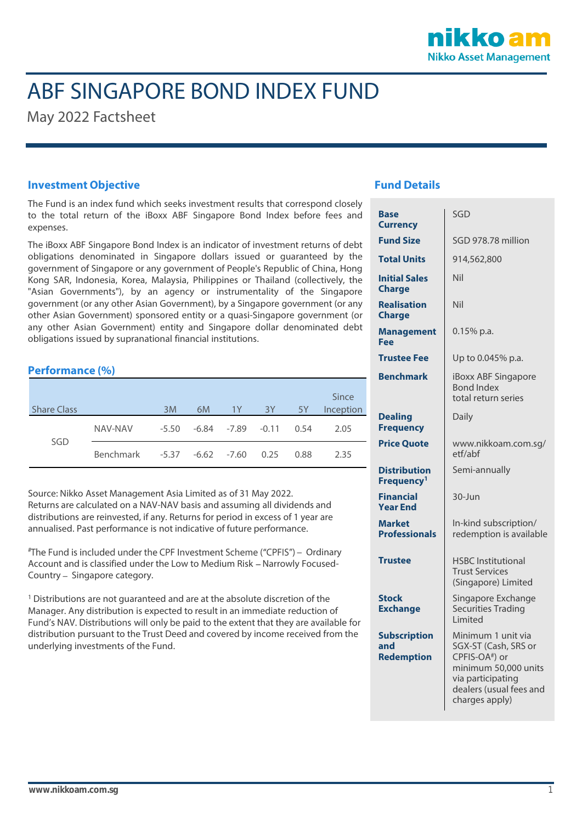

# ABF SINGAPORE BOND INDEX FUND

May 2022 Factsheet

### **Investment Objective**

The Fund is an index fund which seeks investment results that correspond closely to the total return of the iBoxx ABF Singapore Bond Index before fees and expenses.

The iBoxx ABF Singapore Bond Index is an indicator of investment returns of debt obligations denominated in Singapore dollars issued or guaranteed by the government of Singapore or any government of People's Republic of China, Hong Kong SAR, Indonesia, Korea, Malaysia, Philippines or Thailand (collectively, the "Asian Governments"), by an agency or instrumentality of the Singapore government (or any other Asian Government), by a Singapore government (or any other Asian Government) sponsored entity or a quasi-Singapore government (or any other Asian Government) entity and Singapore dollar denominated debt obligations issued by supranational financial institutions.

# **Performance (%)**

| <b>Share Class</b> |                  | 3M                     | 6M | 1Y                           | 3Y | <b>5Y</b> | Since<br>Inception |
|--------------------|------------------|------------------------|----|------------------------------|----|-----------|--------------------|
| SGD                | NAV-NAV          | -5.50                  |    | $-6.84$ $-7.89$ $-0.11$ 0.54 |    |           | 2.05               |
|                    | <b>Benchmark</b> | -5.37 -6.62 -7.60 0.25 |    |                              |    | 0.88      | 2.35               |

Source: Nikko Asset Management Asia Limited as of 31 May 2022. Returns are calculated on a NAV-NAV basis and assuming all dividends and distributions are reinvested, if any. Returns for period in excess of 1 year are annualised. Past performance is not indicative of future performance.

#The Fund is included under the CPF Investment Scheme ("CPFIS") - Ordinary Account and is classified under the Low to Medium Risk - Narrowly Focused-Country - Singapore category.

<sup>1</sup> Distributions are not quaranteed and are at the absolute discretion of the Manager. Any distribution is expected to result in an immediate reduction of Fund's NAV. Distributions will only be paid to the extent that they are available for distribution pursuant to the Trust Deed and covered by income received from the underlying investments of the Fund.

## **Fund Details**

| <b>Base</b><br><b>Currency</b>                  | SGD                                                                                                                                                                |  |  |
|-------------------------------------------------|--------------------------------------------------------------------------------------------------------------------------------------------------------------------|--|--|
| <b>Fund Size</b>                                | SGD 978.78 million                                                                                                                                                 |  |  |
| <b>Total Units</b>                              | 914,562,800                                                                                                                                                        |  |  |
| <b>Initial Sales</b><br><b>Charge</b>           | Nil                                                                                                                                                                |  |  |
| <b>Realisation</b><br><b>Charge</b>             | Nil                                                                                                                                                                |  |  |
| <b>Management</b><br>Fee                        | $0.15%$ p.a.                                                                                                                                                       |  |  |
| <b>Trustee Fee</b>                              | Up to 0.045% p.a.                                                                                                                                                  |  |  |
| <b>Benchmark</b>                                | iBoxx ABF Singapore<br><b>Bond Index</b><br>total return series                                                                                                    |  |  |
| <b>Dealing</b><br><b>Frequency</b>              | Daily                                                                                                                                                              |  |  |
| <b>Price Quote</b>                              | www.nikkoam.com.sg/<br>etf/abf                                                                                                                                     |  |  |
| <b>Distribution</b><br>Frequency <sup>1</sup>   | Semi-annually                                                                                                                                                      |  |  |
| <b>Financial</b><br><b>Year End</b>             | 30-Jun                                                                                                                                                             |  |  |
| <b>Market</b><br><b>Professionals</b>           | In-kind subscription/<br>redemption is available                                                                                                                   |  |  |
| <b>Trustee</b>                                  | <b>HSBC</b> Institutional<br><b>Trust Services</b><br>(Singapore) Limited                                                                                          |  |  |
| <b>Stock</b><br><b>Exchange</b>                 | Singapore Exchange<br><b>Securities Trading</b><br>Limited                                                                                                         |  |  |
| <b>Subscription</b><br>and<br><b>Redemption</b> | Minimum 1 unit via<br>SGX-ST (Cash, SRS or<br>CPFIS-OA <sup>#</sup> ) or<br>minimum 50,000 units<br>via participating<br>dealers (usual fees and<br>charges apply) |  |  |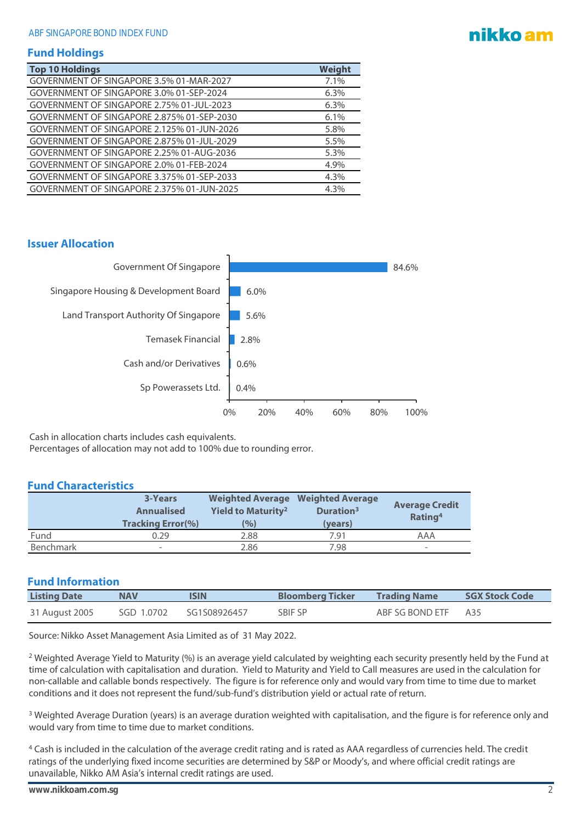# nikko am

### **Fund Holdings**

| <b>Top 10 Holdings</b>                     | Weight |
|--------------------------------------------|--------|
| GOVERNMENT OF SINGAPORE 3.5% 01-MAR-2027   | 7.1%   |
| GOVERNMENT OF SINGAPORE 3.0% 01-SEP-2024   | 6.3%   |
| GOVERNMENT OF SINGAPORE 2.75% 01-JUL-2023  | 6.3%   |
| GOVERNMENT OF SINGAPORE 2.875% 01-SEP-2030 | 6.1%   |
| GOVERNMENT OF SINGAPORE 2.125% 01-JUN-2026 | 5.8%   |
| GOVERNMENT OF SINGAPORE 2.875% 01-JUL-2029 | 5.5%   |
| GOVERNMENT OF SINGAPORE 2.25% 01-AUG-2036  | 5.3%   |
| GOVERNMENT OF SINGAPORE 2.0% 01-FEB-2024   | 4.9%   |
| GOVERNMENT OF SINGAPORE 3.375% 01-SEP-2033 | 4.3%   |
| GOVERNMENT OF SINGAPORE 2.375% 01-JUN-2025 | 4.3%   |

#### **Issuer Allocation**



Cash in allocation charts includes cash equivalents.

Percentages of allocation may not add to 100% due to rounding error.

#### **Fund Characteristics**

|           | <b>3-Years</b><br><b>Annualised</b> | Yield to Maturity <sup>2</sup> | <b>Weighted Average Weighted Average</b><br>Duration <sup>3</sup> | <b>Average Credit</b>    |
|-----------|-------------------------------------|--------------------------------|-------------------------------------------------------------------|--------------------------|
|           | <b>Tracking Error(%)</b>            | $\frac{10}{6}$                 | (years)                                                           | Rating <sup>4</sup>      |
| Fund      | 0.29                                | 2.88                           | 7.91                                                              | AAA                      |
| Benchmark | $\overline{\phantom{a}}$            | 2.86                           | 7.98                                                              | $\overline{\phantom{0}}$ |

#### **Fund Information**

| <b>Listing Date</b> | <b>NAV</b> | <b>Bloomberg Ticker</b><br>ISIN |         | <b>Trading Name</b> | <b>SGX Stock Code</b> |
|---------------------|------------|---------------------------------|---------|---------------------|-----------------------|
| 31 August 2005      | SGD 1.0702 | SG1S08926457                    | SBIF SP | ABF SG BOND ETF     | A35                   |

Source: Nikko Asset Management Asia Limited as of 31 May 2022.

<sup>2</sup> Weighted Average Yield to Maturity (%) is an average yield calculated by weighting each security presently held by the Fund at time of calculation with capitalisation and duration. Yield to Maturity and Yield to Call measures are used in the calculation for non-callable and callable bonds respectively. The figure is for reference only and would vary from time to time due to market conditions and it does not represent the fund/sub-fund's distribution yield or actual rate of return.

<sup>3</sup> Weighted Average Duration (years) is an average duration weighted with capitalisation, and the figure is for reference only and would vary from time to time due to market conditions.

<sup>4</sup> Cash is included in the calculation of the average credit rating and is rated as AAA regardless of currencies held. The credit ratings of the underlying fixed income securities are determined by S&P or Moody's, and where official credit ratings are unavailable, Nikko AM Asia's internal credit ratings are used.